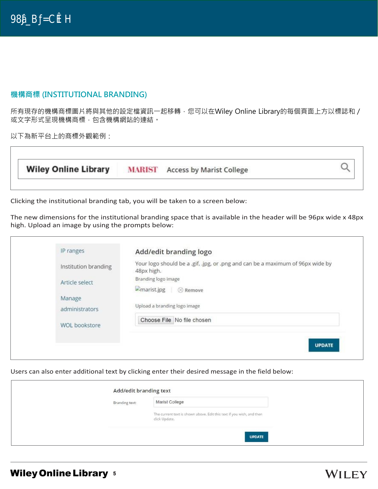$\mathsf{IP} \qquad \qquad \mathsf{IP} \qquad \qquad \mathsf{IP} \qquad \qquad \mathsf{IP}$  $IP$ 

### **機構商標 (INSTITUTIONAL BRANDING)**

所有現存的機構商標圖片將與其他的設定檔資訊一起移轉,您可以在Wiley Online Library的每個頁面上方以標誌和 / 或文字形式呈現機構商標,包含機構網站的連結。

以下為新平台上的商標外觀範例:

| <b>Wiley Online Library</b> |  | <b>MARIST</b> Access by Marist College |  |
|-----------------------------|--|----------------------------------------|--|
|-----------------------------|--|----------------------------------------|--|

Clicking the institutional branding tab, you will be taken to a screen below:

The new dimensions for the institutional branding space that is available in the header will be 96px wide x 48px high. Upload an image by using the prompts below:

| IP ranges            | Add/edit branding logo                                                                       |
|----------------------|----------------------------------------------------------------------------------------------|
| Institution branding | Your logo should be a .gif, .jpg, or .png and can be a maximum of 96px wide by<br>48px high. |
| Article select       | Branding logo image                                                                          |
|                      | $\Box$ marist.jpg $\otimes$ Remove                                                           |
| Manage               |                                                                                              |
| administrators       | Upload a branding logo image                                                                 |
|                      | Choose File No file chosen                                                                   |
| <b>WOL bookstore</b> |                                                                                              |

Users can also enter additional text by clicking enter their desired message in the field below:

| Branding text: | Marist College                                                                         |
|----------------|----------------------------------------------------------------------------------------|
|                | The current text is shown above. Edit this text if you wish, and then<br>click Update. |

WILEY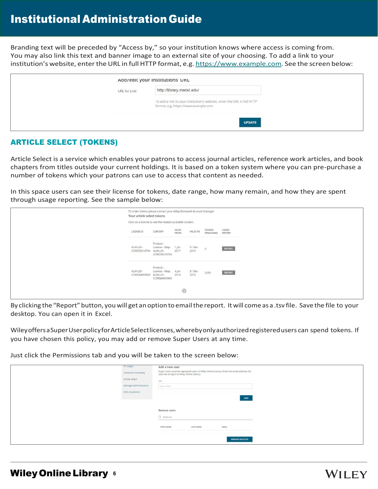# InstitutionalAdministration Guide

Branding text will be preceded by "Access by," so your institution knows where access is coming from. You may also link this text and banner image to an external site of your choosing. To add a link to your institution's website, enterthe URL in full HTTP format, e.g. [https://www.example.com.](http://www.example.com/) See the screen below:

|               | Add/edit your institutions' UKL                                                                                  |
|---------------|------------------------------------------------------------------------------------------------------------------|
| URL for Link: | http://library.marist.edu/                                                                                       |
|               | To add a link to your institution's website, enter the URL in full HTTP<br>format, e.g. https://www.example.com. |
|               | <b>UPDATE</b>                                                                                                    |

## ARTICLE SELECT (TOKENS)

Article Select is a service which enables your patrons to access journal articles, reference work articles, and book chapters from titles outside your current holdings. It is based on a token system where you can pre-purchase a number of tokens which your patrons can use to access that content as needed.

In this space users can see their license for tokens, date range, how many remain, and how they are spent through usage reporting. See the sample below:

| Your article select tokens<br>Click on a license to see the related accesible content. | To order tokens please contact your Wiley-Blackwell Account Manager. |               |                |                     |                 |
|----------------------------------------------------------------------------------------|----------------------------------------------------------------------|---------------|----------------|---------------------|-----------------|
| LICENSE ID                                                                             | CONTENT                                                              | VALID<br>FROM | VALID TO       | TOKENS<br>REMAINING | USAGE<br>REPORT |
| ALM-LID-<br>CORE39210744 ALM-LID-                                                      | Product -<br>License - Map:<br>CORE39210744                          | 1 Jan<br>2017 | 31 Dec<br>2019 | $\circ$             | REPORT          |
| ALM-LID-<br>CORE46803969                                                               | Product-<br>License - Map: 4 Jan<br>ALM-LID-<br>CORE46803969         | 2018          | 31 Dec<br>2019 | 2370                | REPORT          |
|                                                                                        |                                                                      | $\odot$       |                |                     |                 |

By clicking the "Report" button, youwill get anoption to emailthe report. Itwill come as a .tsv file. Save the file to your desktop. You can open it in Excel.

WileyoffersaSuperUserpolicyforArticleSelectlicenses,wherebyonlyauthorizedregisteredusers can spend tokens. If you have chosen this policy, you may add or remove Super Users at any time.

Just click the Permissions tab and you will be taken to the screen below:

| IP ranges             | Add a new user                              |                  |                                                                                           |  |
|-----------------------|---------------------------------------------|------------------|-------------------------------------------------------------------------------------------|--|
| Institution branding  | user has to log in to Wiley Online Library. |                  | Super Users must be registered users of Wiley Online Library. Enter the email address the |  |
| Article select        | User                                        |                  |                                                                                           |  |
| Manage administrators | Type email                                  |                  |                                                                                           |  |
| WOL bookstore         |                                             |                  |                                                                                           |  |
|                       |                                             |                  | <b>ADD</b>                                                                                |  |
|                       |                                             |                  |                                                                                           |  |
|                       | Remove users                                |                  |                                                                                           |  |
|                       | SEECTAL                                     |                  |                                                                                           |  |
|                       |                                             |                  |                                                                                           |  |
|                       | <b>FIRST NAME</b>                           | <b>LAST NAME</b> | EMAIL                                                                                     |  |
|                       |                                             |                  |                                                                                           |  |
|                       |                                             |                  | <b>REMOVE SELECTED</b>                                                                    |  |
|                       |                                             |                  |                                                                                           |  |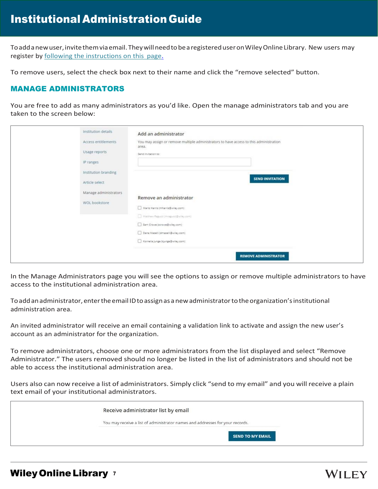Toaddanewuser,invitethemviaemail.TheywillneedtobearegistereduseronWileyOnlineLibrary. New users may register by [following the instructions on this](https://onlinelibrary.wiley.com/action/registration) page.

To remove users, select the check box next to their name and click the "remove selected" button.

### MANAGE ADMINISTRATORS

You are free to add as many administrators as you'd like. Open the manage administrators tab and you are taken to the screen below:

| Institution details<br>Access entitlements<br>Usage reports<br>IP ranges<br>Institution branding<br>Article select | Add an administrator<br>You may assign or remove multiple administrators to have access to this administration<br>area.<br>Send invitation to:<br><b>SEND INVITATION</b>                                                                    |
|--------------------------------------------------------------------------------------------------------------------|---------------------------------------------------------------------------------------------------------------------------------------------------------------------------------------------------------------------------------------------|
| Manage administrators<br>WOL bookstore                                                                             | Remove an administrator<br>Mario Harris (mharris@wiley.com)<br>Matthew Ragucci (mragucci@wiley.com)<br>Sam Crowe (scrowe@wiley.com)<br>Dana Maselli (dmasell@wiley.com)<br>Kornelia junge (kjunge@wiley.com)<br><b>REMOVE ADMINISTRATOR</b> |

In the Manage Administrators page you will see the options to assign or remove multiple administrators to have access to the institutional administration area.

Toaddanadministrator, enterthe email IDtoassignas anewadministratortotheorganization'sinstitutional administration area.

An invited administrator will receive an email containing a validation link to activate and assign the new user's account as an administrator for the organization.

To remove administrators, choose one or more administrators from the list displayed and select "Remove Administrator." The users removed should no longer be listed in the list of administrators and should not be able to access the institutional administration area.

Users also can now receive a list of administrators. Simply click "send to my email" and you will receive a plain text email of your institutional administrators.

| Receive administrator list by email                                           |
|-------------------------------------------------------------------------------|
| You may receive a list of administrator names and addresses for your records. |
| <b>SEND TO MY EMAIL</b>                                                       |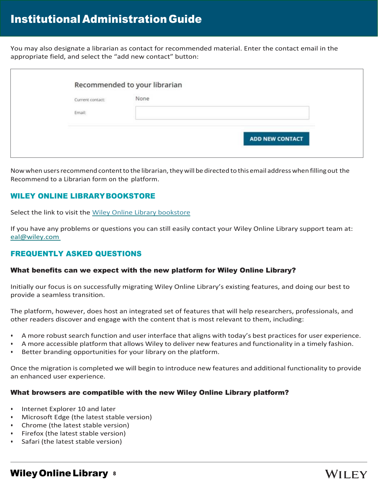You may also designate a librarian as contact for recommended material. Enter the contact email in the appropriate field, and select the "add new contact" button:

| Current contact: | None |  |
|------------------|------|--|
| Email:           |      |  |
|                  |      |  |

Now when users recommend content to the librarian, they will be directed to this email address when filling out the Recommend to a Librarian form on the platform.

## WILEY ONLINE LIBRARYBOOKSTORE

Select the link to visit the [Wiley Online Library bookstore](https://wolbookstore.wiley.com/)

If you have any problems or questions you can still easily contact your Wiley Online Library support team at: [eal@wiley.com](mailto:eal@wiley.com)

## FREQUENTLY ASKED QUESTIONS

#### What benefits can we expect with the new platform for Wiley Online Library?

Initially our focus is on successfully migrating Wiley Online Library's existing features, and doing our best to provide a seamless transition.

The platform, however, does host an integrated set of features that will help researchers, professionals, and other readers discover and engage with the content that is most relevant to them, including:

- A more robust search function and user interface that aligns with today's best practices for user experience.
- A more accessible platform that allows Wiley to deliver new features and functionality in a timely fashion.
- Better branding opportunities for your library on the platform.

Once the migration is completed we will begin to introduce new features and additional functionality to provide an enhanced user experience.

#### What browsers are compatible with the new Wiley Online Library platform?

- Internet Explorer 10 and later
- Microsoft Edge (the latest stable version)
- Chrome (the latest stable version)
- Firefox (the latest stable version)
- Safari (the latest stable version)